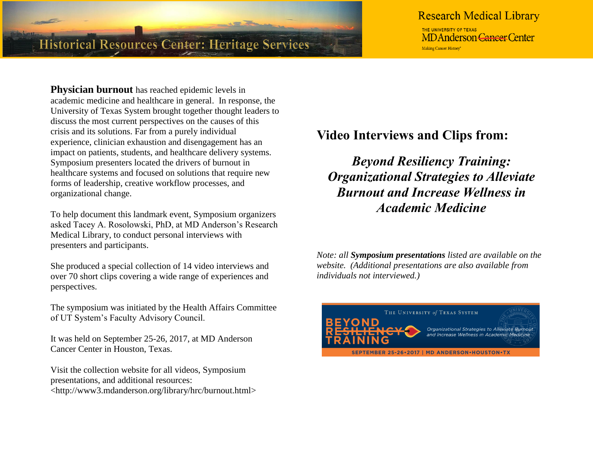

# **Research Medical Library**

THE UNIVERSITY OF TEXAS **MDAnderson Cancer Center** Making Cancer History\*

**Physician burnout** has reached epidemic levels in academic medicine and healthcare in general. In response, the University of Texas System brought together thought leaders to discuss the most current perspectives on the causes of this crisis and its solutions. Far from a purely individual experience, clinician exhaustion and disengagement has an impact on patients, students, and healthcare delivery systems. Symposium presenters located the drivers of burnout in healthcare systems and focused on solutions that require new forms of leadership, creative workflow processes, and organizational change.

To help document this landmark event, Symposium organizers asked Tacey A. Rosolowski, PhD, at MD Anderson's Research Medical Library, to conduct personal interviews with presenters and participants.

She produced a special collection of 14 video interviews and over 70 short clips covering a wide range of experiences and perspectives.

The symposium was initiated by the Health Affairs Committee of UT System's Faculty Advisory Council.

It was held on September 25-26, 2017, at MD Anderson Cancer Center in Houston, Texas.

Visit the collection website for all videos, Symposium presentations, and additional resources: <http://www3.mdanderson.org/library/hrc/burnout.html> **Video Interviews and Clips from:**

*Beyond Resiliency Training: Organizational Strategies to Alleviate Burnout and Increase Wellness in Academic Medicine*

*Note: all Symposium presentations listed are available on the website. (Additional presentations are also available from individuals not interviewed.)* 

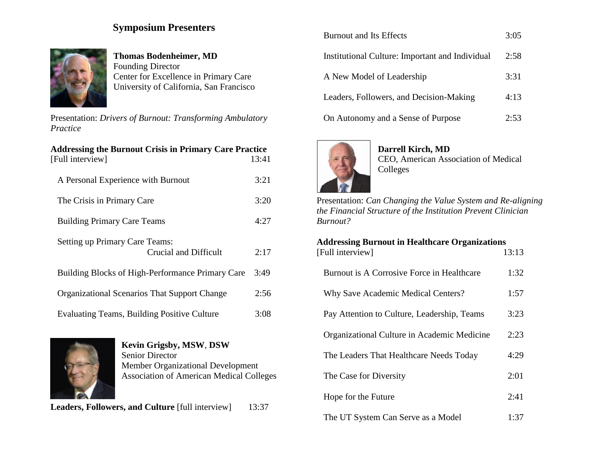## **Symposium Presenters**



**Thomas Bodenheimer, MD** Founding Director Center for Excellence in Primary Care University of California, San Francisco

Presentation: *Drivers of Burnout: Transforming Ambulatory Practice*

| <b>Addressing the Burnout Crisis in Primary Care Practice</b> |       |
|---------------------------------------------------------------|-------|
| [Full interview]                                              | 13:41 |
| A Personal Experience with Burnout                            | 3:21  |
| The Crisis in Primary Care                                    | 3:20  |
| <b>Building Primary Care Teams</b>                            | 4:27  |
| Setting up Primary Care Teams:<br>Crucial and Difficult       | 2:17  |
| Building Blocks of High-Performance Primary Care              | 3:49  |
| <b>Organizational Scenarios That Support Change</b>           | 2:56  |
| <b>Evaluating Teams, Building Positive Culture</b>            | 3:08  |



**Kevin Grigsby, MSW**, **DSW** Senior Director Member Organizational Development Association of American Medical Colleges

**Leaders, Followers, and Culture** [full interview]13:37

| <b>Burnout and Its Effects</b>                  | 3:05 |
|-------------------------------------------------|------|
| Institutional Culture: Important and Individual | 2:58 |
| A New Model of Leadership                       | 3:31 |
| Leaders, Followers, and Decision-Making         | 4:13 |
| On Autonomy and a Sense of Purpose              | 2:53 |



### **Darrell Kirch, MD** CEO, American Association of Medical Colleges

Presentation: *Can Changing the Value System and Re-aligning the Financial Structure of the Institution Prevent Clinician Burnout?*

| <b>Addressing Burnout in Healthcare Organizations</b> |       |
|-------------------------------------------------------|-------|
| [Full interview]                                      | 13:13 |
| Burnout is A Corrosive Force in Healthcare            | 1:32  |
| <b>Why Save Academic Medical Centers?</b>             | 1:57  |
| Pay Attention to Culture, Leadership, Teams           | 3:23  |
| Organizational Culture in Academic Medicine           | 2:23  |
| The Leaders That Healthcare Needs Today               | 4:29  |
| The Case for Diversity                                | 2:01  |
| Hope for the Future                                   | 2:41  |
| The UT System Can Serve as a Model                    | 1:37  |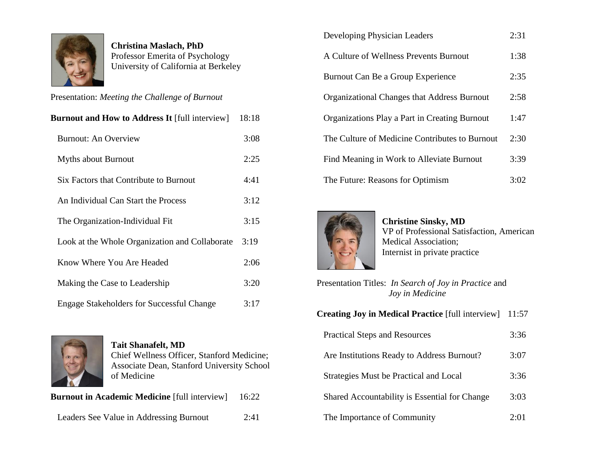

**Christina Maslach, PhD** Professor Emerita of Psychology University of California at Berkeley

Presentation: *Meeting the Challenge of Burnout*

| <b>Burnout and How to Address It [full interview]</b> | 18:18 |
|-------------------------------------------------------|-------|
| <b>Burnout: An Overview</b>                           | 3:08  |
| <b>Myths about Burnout</b>                            | 2:25  |
| Six Factors that Contribute to Burnout                | 4:41  |
| An Individual Can Start the Process                   | 3:12  |
| The Organization-Individual Fit                       | 3:15  |
| Look at the Whole Organization and Collaborate        | 3:19  |
| Know Where You Are Headed                             | 2:06  |
| Making the Case to Leadership                         | 3:20  |
| <b>Engage Stakeholders for Successful Change</b>      | 3:17  |



**Tait Shanafelt, MD** Chief Wellness Officer, Stanford Medicine; Associate Dean, Stanford University School of Medicine

**Burnout in Academic Medicine** [full interview] 16:22

Leaders See Value in Addressing Burnout2:41

| Developing Physician Leaders                         | 2:31 |
|------------------------------------------------------|------|
| A Culture of Wellness Prevents Burnout               | 1:38 |
| Burnout Can Be a Group Experience                    | 2:35 |
| <b>Organizational Changes that Address Burnout</b>   | 2:58 |
| <b>Organizations Play a Part in Creating Burnout</b> | 1:47 |
| The Culture of Medicine Contributes to Burnout       | 2:30 |
| Find Meaning in Work to Alleviate Burnout            | 3:39 |
| The Future: Reasons for Optimism                     | 3:02 |



**Christine Sinsky, MD** VP of Professional Satisfaction, American Medical Association; Internist in private practice

| Presentation Titles: In Search of Joy in Practice and<br>Joy in Medicine |       |
|--------------------------------------------------------------------------|-------|
| <b>Creating Joy in Medical Practice</b> [full interview]                 | 11:57 |
| <b>Practical Steps and Resources</b>                                     | 3:36  |
| Are Institutions Ready to Address Burnout?                               | 3:07  |
| Strategies Must be Practical and Local                                   | 3:36  |
| Shared Accountability is Essential for Change                            | 3:03  |
| The Importance of Community                                              | 2:01  |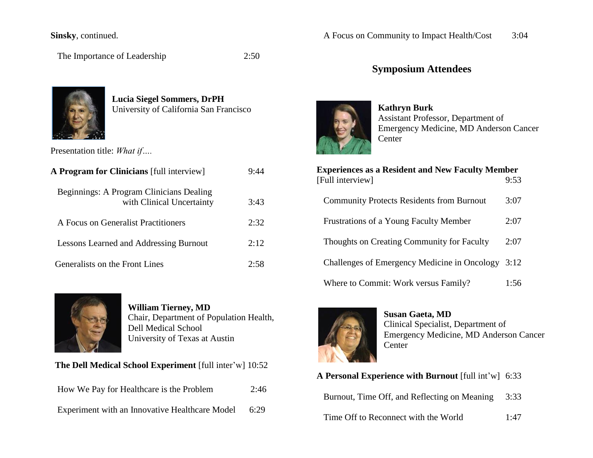### **Sinsky**, continued.

The Importance of Leadership 2:50



**Lucia Siegel Sommers, DrPH** University of California San Francisco

Presentation title: *What if….*

| A Program for Clinicians [full interview]                             | 9:44 |
|-----------------------------------------------------------------------|------|
| Beginnings: A Program Clinicians Dealing<br>with Clinical Uncertainty | 3:43 |
| A Focus on Generalist Practitioners                                   | 2:32 |
| <b>Lessons Learned and Addressing Burnout</b>                         | 2:12 |
| Generalists on the Front Lines                                        | 7.58 |



**William Tierney, MD** Chair, Department of Population Health, Dell Medical School University of Texas at Austin

**The Dell Medical School Experiment** [full inter'w] 10:52

| How We Pay for Healthcare is the Problem       | 2:46 |
|------------------------------------------------|------|
| Experiment with an Innovative Healthcare Model | 6:29 |

## **Symposium Attendees**



**Kathryn Burk** Assistant Professor, Department of Emergency Medicine, MD Anderson Cancer Center

| <b>Experiences as a Resident and New Faculty Member</b><br>[Full interview] | 9:53 |
|-----------------------------------------------------------------------------|------|
| <b>Community Protects Residents from Burnout</b>                            | 3:07 |
| Frustrations of a Young Faculty Member                                      | 2:07 |
| Thoughts on Creating Community for Faculty                                  | 2:07 |
| Challenges of Emergency Medicine in Oncology 3:12                           |      |
| Where to Commit: Work versus Family?                                        | 1:56 |



**Susan Gaeta, MD** Clinical Specialist, Department of Emergency Medicine, MD Anderson Cancer Center

| <b>A Personal Experience with Burnout</b> [full int'w] 6:33 |      |
|-------------------------------------------------------------|------|
| Burnout, Time Off, and Reflecting on Meaning                | 3:33 |
| Time Off to Reconnect with the World                        | 1:47 |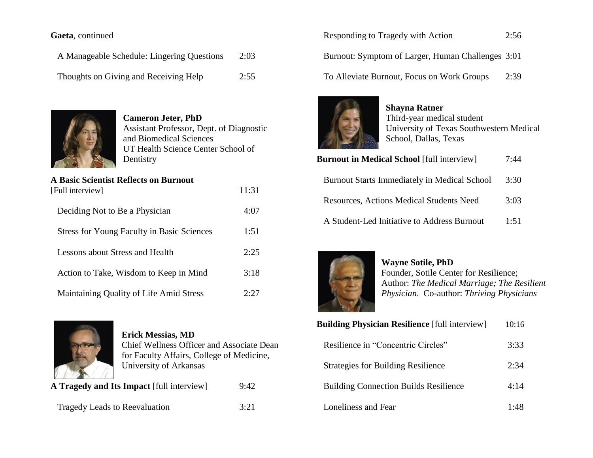### **Gaeta**, continued

A Manageable Schedule: Lingering Questions 2:03 Thoughts on Giving and Receiving Help 2:55



**Cameron Jeter, PhD** Assistant Professor, Dept. of Diagnostic and Biomedical Sciences UT Health Science Center School of Dentistry

#### **A Basic Scientist Reflects on Burnout**

| [Full interview]                                  | 11:31 |
|---------------------------------------------------|-------|
| Deciding Not to Be a Physician                    | 4:07  |
| <b>Stress for Young Faculty in Basic Sciences</b> | 1:51  |
| Lessons about Stress and Health                   | 2:25  |
| Action to Take, Wisdom to Keep in Mind            | 3:18  |
| Maintaining Quality of Life Amid Stress           | 2.27  |



**Erick Messias, MD** Chief Wellness Officer and Associate Dean for Faculty Affairs, College of Medicine, University of Arkansas

**A Tragedy and Its Impact** [full interview] 9:42

Tragedy Leads to Reevaluation 3:21

| <b>Responding to Tragedy with Action</b>          | 2:56 |
|---------------------------------------------------|------|
| Burnout: Symptom of Larger, Human Challenges 3:01 |      |

To Alleviate Burnout, Focus on Work Groups 2:39



**Shayna Ratner** Third-year medical student University of Texas Southwestern Medical School, Dallas, Texas

| <b>Burnout in Medical School</b> [full interview]   | 7:44 |
|-----------------------------------------------------|------|
| <b>Burnout Starts Immediately in Medical School</b> | 3:30 |
| <b>Resources, Actions Medical Students Need</b>     | 3:03 |
| A Student-Led Initiative to Address Burnout         | 1:51 |



**Wayne Sotile, PhD**  Founder, Sotile Center for Resilience; Author: *The Medical Marriage; The Resilient Physician*. Co-author: *Thriving Physicians*

| <b>Building Physician Resilience</b> [full interview] | 10:16 |
|-------------------------------------------------------|-------|
| Resilience in "Concentric Circles"                    | 3:33  |
| <b>Strategies for Building Resilience</b>             | 2:34  |
| <b>Building Connection Builds Resilience</b>          | 4:14  |
| Loneliness and Fear                                   | 1.48  |